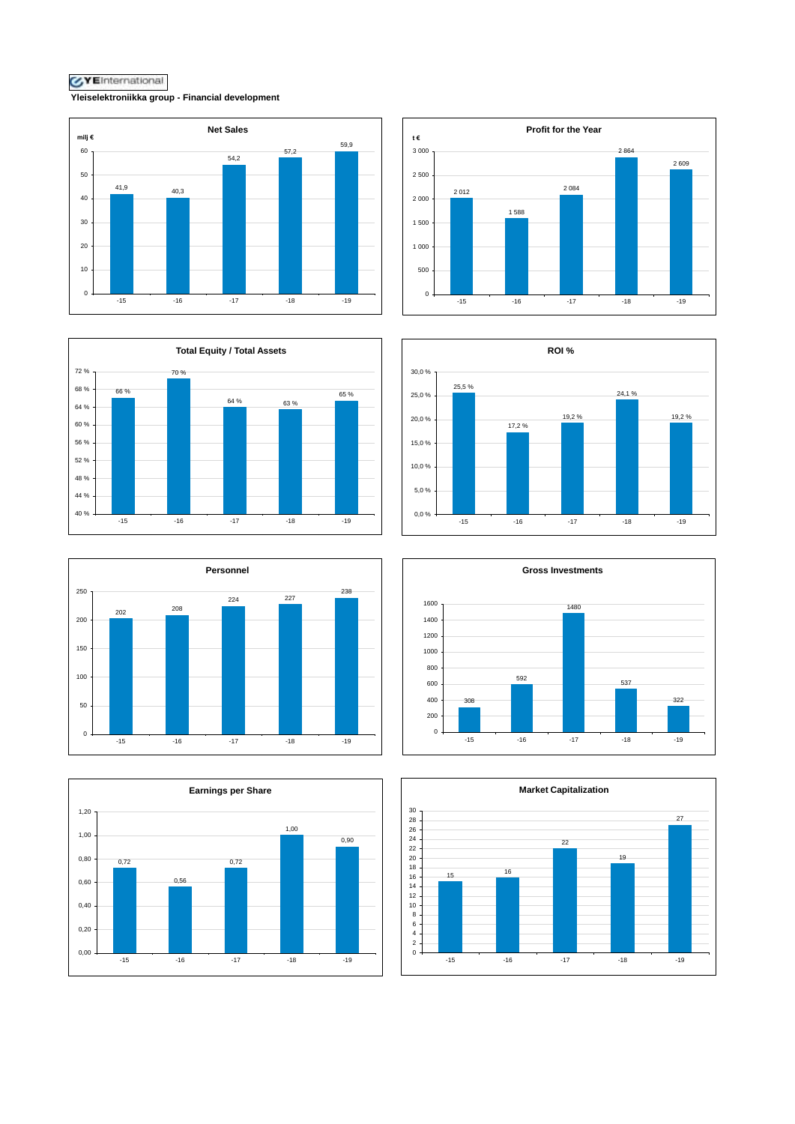**Yleiselektroniikka group - Financial development**